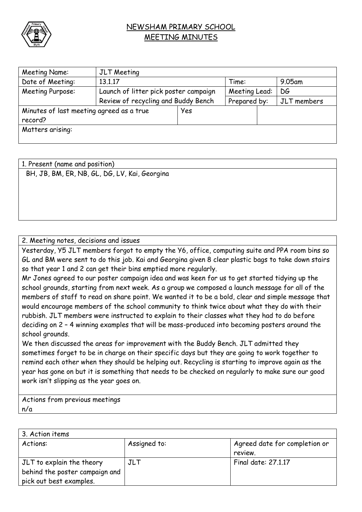

## NEWSHAM PRIMARY SCHOOL MEETING MINUTES

| Meeting Name:                            | JLT Meeting                           |     |               |             |  |
|------------------------------------------|---------------------------------------|-----|---------------|-------------|--|
| Date of Meeting:                         | 13.1.17                               |     | Time:         | $9.05$ am   |  |
| Meeting Purpose:                         | Launch of litter pick poster campaign |     | Meeting Lead: | DG          |  |
|                                          | Review of recycling and Buddy Bench   |     | Prepared by:  | JLT members |  |
| Minutes of last meeting agreed as a true |                                       | Yes |               |             |  |
| record?                                  |                                       |     |               |             |  |
| Matters arising:                         |                                       |     |               |             |  |
|                                          |                                       |     |               |             |  |

1. Present (name and position) BH, JB, BM, ER, NB, GL, DG, LV, Kai, Georgina

## 2. Meeting notes, decisions and issues

Yesterday, Y5 JLT members forgot to empty the Y6, office, computing suite and PPA room bins so GL and BM were sent to do this job. Kai and Georgina given 8 clear plastic bags to take down stairs so that year 1 and 2 can get their bins emptied more regularly.

Mr Jones agreed to our poster campaign idea and was keen for us to get started tidying up the school grounds, starting from next week. As a group we composed a launch message for all of the members of staff to read on share point. We wanted it to be a bold, clear and simple message that would encourage members of the school community to think twice about what they do with their rubbish. JLT members were instructed to explain to their classes what they had to do before deciding on 2 – 4 winning examples that will be mass-produced into becoming posters around the school grounds.

We then discussed the areas for improvement with the Buddy Bench. JLT admitted they sometimes forget to be in charge on their specific days but they are going to work together to remind each other when they should be helping out. Recycling is starting to improve again as the year has gone on but it is something that needs to be checked on regularly to make sure our good work isn't slipping as the year goes on.

Actions from previous meetings n/a

| 3. Action items                |              |                               |  |  |
|--------------------------------|--------------|-------------------------------|--|--|
| Actions:                       | Assigned to: | Agreed date for completion or |  |  |
|                                |              | review.                       |  |  |
| JLT to explain the theory      | JLT          | Final date: 27,1,17           |  |  |
| behind the poster campaign and |              |                               |  |  |
| pick out best examples.        |              |                               |  |  |